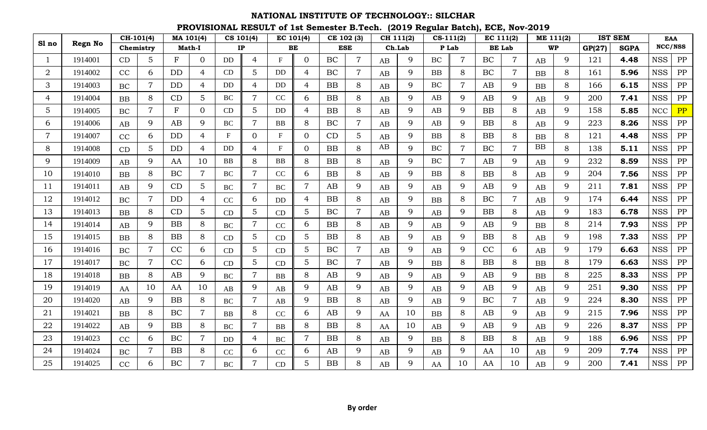|                |         | CH-101(4) |                |             | MA 101(4)      |                           | CS 101(4)        |                           | EC 101(4)      |           | CE 102 (3)     |          | CH 111(2) |          | $\overline{\text{CS-111(2)}}$ |           | EC 111(2)      |           | ME 111(2) |        | <b>IST SEM</b> | <b>EAA</b> |            |
|----------------|---------|-----------|----------------|-------------|----------------|---------------------------|------------------|---------------------------|----------------|-----------|----------------|----------|-----------|----------|-------------------------------|-----------|----------------|-----------|-----------|--------|----------------|------------|------------|
| Sl no          | Regn No | Chemistry |                |             | <b>Math-I</b>  |                           | IP               |                           | <b>BE</b>      |           | <b>ESE</b>     |          | Ch.Lab    |          | P Lab                         |           | <b>BE</b> Lab  |           | <b>WP</b> | GP(27) | <b>SGPA</b>    | NCC/NSS    |            |
|                | 1914001 | CD        | 5              | ${\bf F}$   | $\mathbf{0}$   | DD                        | $\overline{4}$   | $\rm F$                   | $\overline{0}$ | BC        | $\overline{7}$ | AB       | 9         | $\rm BC$ | $\overline{7}$                | BC        | 7              | AB        | 9         | 121    | 4.48           | <b>NSS</b> | PP         |
| $\overline{a}$ | 1914002 | CC        | 6              | <b>DD</b>   | $\overline{4}$ | CD                        | $\overline{5}$   | <b>DD</b>                 | $\overline{4}$ | BC        | $\overline{7}$ | AB       | 9         | BB       | 8                             | BC        | $\overline{7}$ | BB        | 8         | 161    | 5.96           | <b>NSS</b> | ${\rm PP}$ |
| 3              | 1914003 | BC        | $\overline{7}$ | <b>DD</b>   | $\overline{4}$ | DD                        | 4                | DD                        | $\overline{4}$ | BB        | 8              | AB       | 9         | BC       | $\overline{7}$                | AB        | 9              | BB        | 8         | 166    | 6.15           | <b>NSS</b> | ${\rm PP}$ |
| $\overline{4}$ | 1914004 | <b>BB</b> | 8              | CD          | 5              | <b>BC</b>                 | $\overline{7}$   | CC                        | 6              | BB        | 8              | AB       | 9         | AB       | 9                             | AB        | 9              | AB        | 9         | 200    | 7.41           | <b>NSS</b> | ${\rm PP}$ |
| 5 <sub>o</sub> | 1914005 | BC        | 7              | $\mathbf F$ | $\Omega$       | CD                        | 5                | DD                        | $\overline{4}$ | BB        | 8              | AB       | 9         | AB       | 9                             | <b>BB</b> | 8              | AB        | 9         | 158    | 5.85           | NCC        | PP         |
| 6              | 1914006 | AB        | 9              | AB          | 9              | BC                        | $\overline{7}$   | ${\bf BB}$                | 8              | <b>BC</b> | $\overline{7}$ | AB       | 9         | AB       | 9                             | BB        | 8              | AB        | 9         | 223    | 8.26           | <b>NSS</b> | ${\rm PP}$ |
| $\overline{7}$ | 1914007 | CC        | 6              | <b>DD</b>   | 4              | $\boldsymbol{\mathrm{F}}$ | $\overline{0}$   | $\boldsymbol{\mathrm{F}}$ | $\overline{0}$ | CD        | 5 <sup>5</sup> | AB       | 9         | BB       | 8                             | <b>BB</b> | 8              | BB        | 8         | 121    | 4.48           | <b>NSS</b> | ${\rm PP}$ |
| 8              | 1914008 | CD        | 5              | <b>DD</b>   | $\overline{4}$ | DD                        | 4                | $\mathbf F$               | $\Omega$       | <b>BB</b> | 8              | AB       | 9         | BC       | $\overline{7}$                | <b>BC</b> | $\overline{7}$ | BB        | 8         | 138    | 5.11           | <b>NSS</b> | ${\rm PP}$ |
| 9              | 1914009 | AB        | 9              | AA          | 10             | <b>BB</b>                 | 8                | <b>BB</b>                 | 8              | BB        | 8              | AB       | 9         | $\rm BC$ | $\overline{7}$                | AB        | 9              | AB        | 9         | 232    | 8.59           | <b>NSS</b> | ${\rm PP}$ |
| 10             | 1914010 | BB        | 8              | BC          | $\overline{7}$ | BC                        | $\overline{7}$   | CC                        | 6              | BB        | 8              | AB       | 9         | BB       | 8                             | BB        | 8              | AB        | 9         | 204    | 7.56           | <b>NSS</b> | PP         |
| 11             | 1914011 | AB        | 9              | CD          | 5              | <b>BC</b>                 | $\overline{7}$   | <b>BC</b>                 | $\overline{7}$ | AB        | 9              | AB       | 9         | AB       | 9                             | AB        | 9              | AB        | 9         | 211    | 7.81           | <b>NSS</b> | PP         |
| 12             | 1914012 | BC        | 7              | <b>DD</b>   | $\overline{4}$ | CC                        | 6                | DD                        | $\overline{4}$ | BB        | 8              | $\rm AB$ | 9         | BB       | 8                             | BC        |                | AB        | 9         | 174    | 6.44           | <b>NSS</b> | PP         |
| 13             | 1914013 | BB        | 8              | CD          | $\overline{5}$ | CD                        | 5                | CD                        | 5              | BC        | $\overline{7}$ | AB       | 9         | AB       | 9                             | <b>BB</b> | 8              | AB        | 9         | 183    | 6.78           | <b>NSS</b> | ${\rm PP}$ |
| 14             | 1914014 | AB        | 9              | BB          | 8              | <b>BC</b>                 | $\overline{7}$   | CC                        | 6              | BB        | 8              | AB       | 9         | AB       | 9                             | AB        | 9              | <b>BB</b> | 8         | 214    | 7.93           | <b>NSS</b> | ${\rm PP}$ |
| 15             | 1914015 | <b>BB</b> | 8              | BB          | 8              | CD                        | 5                | CD                        | 5              | BB        | 8              | AB       | 9         | AB       | 9                             | BB        | 8              | AB        | 9         | 198    | 7.33           | <b>NSS</b> | ${\rm PP}$ |
| 16             | 1914016 | <b>BC</b> | $\overline{7}$ | CC          | 6              | CD                        | 5                | CD                        | 5              | BC        | $\overline{7}$ | AB       | 9         | AB       | 9                             | CC        | 6              | AB        | 9         | 179    | 6.63           | <b>NSS</b> | ${\rm PP}$ |
| 17             | 1914017 | BC        | 7              | CC          | 6              | CD                        | 5                | CD                        | 5              | BC        | $\overline{7}$ | AB       | 9         | BB       | 8                             | BB        | 8              | BB        | 8         | 179    | 6.63           | <b>NSS</b> | PP         |
| 18             | 1914018 | <b>BB</b> | 8              | AB          | 9              | <b>BC</b>                 | $\overline{7}$   | <b>BB</b>                 | 8              | AB        | 9              | AB       | 9         | AB       | 9                             | AB        | 9              | BB        | 8         | 225    | 8.33           | <b>NSS</b> | ${\rm PP}$ |
| 19             | 1914019 | AA        | 10             | AA          | 10             | AB                        | 9                | AB                        | 9              | AB        | 9              | AB       | 9         | AB       | 9                             | AB        | 9              | AB        | 9         | 251    | 9.30           | <b>NSS</b> | ${\rm PP}$ |
| 20             | 1914020 | AB        | 9              | BB          | 8              | BC                        | $\overline{7}$   | AB                        | 9              | BB        | 8              | AB       | 9         | AB       | 9                             | BC        |                | AB        | 9         | 224    | 8.30           | <b>NSS</b> | ${\rm PP}$ |
| 21             | 1914021 | <b>BB</b> | 8              | BC          | $\overline{7}$ | BB                        | 8                | CC                        | 6              | AB        | 9              | AA       | 10        | BB       | 8                             | AB        | 9              | AB        | 9         | 215    | 7.96           | <b>NSS</b> | ${\rm PP}$ |
| 22             | 1914022 | AB        | 9              | BB          | 8              | <b>BC</b>                 | $\boldsymbol{7}$ | <b>BB</b>                 | 8              | BB        | 8              | AA       | 10        | AB       | 9                             | AB        | 9              | AB        | 9         | 226    | 8.37           | <b>NSS</b> | ${\rm PP}$ |
| 23             | 1914023 | CC        | 6              | <b>BC</b>   | $\overline{7}$ | <b>DD</b>                 | 4                | <b>BC</b>                 | $\overline{7}$ | <b>BB</b> | 8              | AB       | 9         | BB       | 8                             | BB        | 8              | AB        | 9         | 188    | 6.96           | <b>NSS</b> | ${\rm PP}$ |
| 24             | 1914024 | $\rm BC$  | $\overline{7}$ | <b>BB</b>   | 8              | CC                        | 6                | CC                        | 6              | AB        | 9              | AB       | 9         | AB       | 9                             | AA        | 10             | AB        | 9         | 209    | 7.74           | <b>NSS</b> | ${\rm PP}$ |
| 25             | 1914025 | CC        | 6              | <b>BC</b>   | 7              | BC                        | $\overline{7}$   | CD                        | 5              | BB        | 8              | AB       | 9         | AA       | 10                            | AA        | 10             | AB        | 9         | 200    | 7.41           | NSS        | PP         |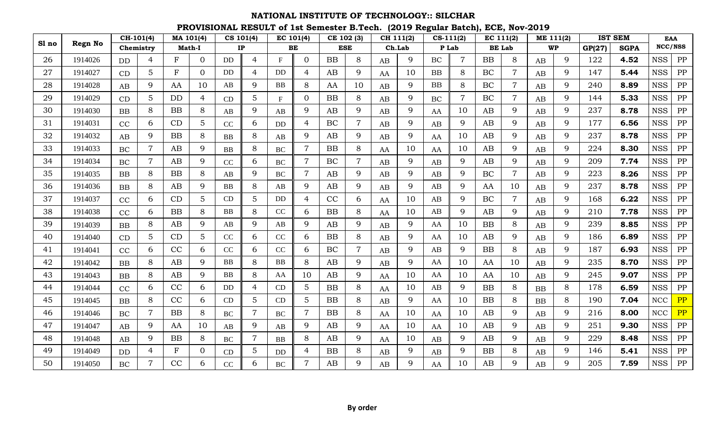|       |         | $\overline{CH-1}01(4)$ |                |              | MA 101(4)      | CS 101(4) |                |             | $\overline{EC}$ 101(4) |           | CE 102 (3)     |                        | CH 111(2) |                        | $CS-111(2)$    | EC 111(2) |                |    | ME 111(2) |        | <b>IST SEM</b> |            | <b>EAA</b> |
|-------|---------|------------------------|----------------|--------------|----------------|-----------|----------------|-------------|------------------------|-----------|----------------|------------------------|-----------|------------------------|----------------|-----------|----------------|----|-----------|--------|----------------|------------|------------|
| Sl no | Regn No |                        | Chemistry      |              | <b>Math-I</b>  |           | IP             |             | <b>BE</b>              |           | <b>ESE</b>     |                        | Ch.Lab    |                        | P Lab          |           | <b>BE</b> Lab  |    | <b>WP</b> | GP(27) | <b>SGPA</b>    | NCC/NSS    |            |
| 26    | 1914026 | D <sub>D</sub>         | 4              | $\mathbf{F}$ | $\overline{0}$ | <b>DD</b> | 4              | $\mathbf F$ | $\overline{0}$         | <b>BB</b> | 8              | AB                     | 9         | BC                     | 7              | <b>BB</b> | 8              | AB | 9         | 122    | 4.52           | <b>NSS</b> | PP         |
| 27    | 1914027 | CD                     | 5              | $\mathbf F$  | $\overline{0}$ | DD.       | 4              | DD          | 4                      | AB        | 9              | AA                     | 10        | BB                     | 8              | BC        | $\overline{7}$ | AB | 9         | 147    | 5.44           | <b>NSS</b> | ${\rm PP}$ |
| 28    | 1914028 | AB                     | 9              | AA           | 10             | AB        | 9              | BB          | 8                      | AA        | 10             | AB                     | 9         | ${\rm BB}$             | 8              | BC        | $\overline{7}$ | AB | 9         | 240    | 8.89           | <b>NSS</b> | ${\rm PP}$ |
| 29    | 1914029 | CD                     | 5              | <b>DD</b>    | $\overline{4}$ | CD        | 5              | F           | $\overline{0}$         | BB        | 8              | AB                     | 9         | BC                     | $\overline{7}$ | BC        | $\overline{7}$ | AB | 9         | 144    | 5.33           | <b>NSS</b> | ${\rm PP}$ |
| 30    | 1914030 | <b>BB</b>              | 8              | <b>BB</b>    | 8              | AB        | 9              | AB          | 9                      | AB        | 9              | AB                     | 9         | AA                     | 10             | AB        | 9              | AB | 9         | 237    | 8.78           | <b>NSS</b> | ${\rm PP}$ |
| 31    | 1914031 | CC                     | 6              | CD           | 5              | CC        | 6              | <b>DD</b>   | 4                      | <b>BC</b> | $\overline{7}$ | AB                     | 9         | AB                     | 9              | AB        | 9              | AB | 9         | 177    | 6.56           | <b>NSS</b> | ${\rm PP}$ |
| 32    | 1914032 | AB                     | 9              | <b>BB</b>    | 8              | <b>BB</b> | 8              | AB          | 9                      | AB        | 9              | AB                     | 9         | AA                     | 10             | AB        | 9              | AB | 9         | 237    | 8.78           | <b>NSS</b> | ${\rm PP}$ |
| 33    | 1914033 | BC                     | $\overline{7}$ | AB           | 9              | BB        | 8              | <b>BC</b>   | $\overline{7}$         | BB        | 8              | AA                     | 10        | AA                     | 10             | AB        | 9              | AB | 9         | 224    | 8.30           | <b>NSS</b> | ${\rm PP}$ |
| 34    | 1914034 | <b>BC</b>              | $\overline{7}$ | AB           | 9              | CC        | 6              | <b>BC</b>   | $\overline{7}$         | BC        | $\overline{7}$ | AB                     | 9         | AB                     | 9              | AB        | 9              | AB | 9         | 209    | 7.74           | <b>NSS</b> | ${\rm PP}$ |
| 35    | 1914035 | BB                     | 8              | <b>BB</b>    | 8              | AB        | 9              | BC          | $\overline{7}$         | AB        | 9              | AB                     | 9         | AB                     | 9              | BC        | $\overline{7}$ | AB | 9         | 223    | 8.26           | <b>NSS</b> | ${\rm PP}$ |
| 36    | 1914036 | <b>BB</b>              | 8              | AB           | 9              | BB        | 8              | AB          | 9                      | AB        | 9              | AB                     | 9         | AB                     | 9              | AA        | 10             | AB | 9         | 237    | 8.78           | <b>NSS</b> | ${\rm PP}$ |
| 37    | 1914037 | CC                     | 6              | CD           | 5              | CD        | 5              | <b>DD</b>   | $\overline{4}$         | CC        | 6              | AA                     | 10        | AB                     | 9              | BC        | $\overline{7}$ | AB | 9         | 168    | 6.22           | <b>NSS</b> | PP         |
| 38    | 1914038 | CC                     | 6              | BB           | 8              | <b>BB</b> | 8              | CC          | 6                      | <b>BB</b> | 8              | AA                     | 10        | AB                     | 9              | AB        | 9              | AB | 9         | 210    | 7.78           | <b>NSS</b> | ${\rm PP}$ |
| 39    | 1914039 | BB                     | 8              | AB           | 9              | AB        | 9              | AB          | 9                      | AB        | 9              | AB                     | 9         | AA                     | 10             | BB        | 8              | AB | 9         | 239    | 8.85           | <b>NSS</b> | ${\rm PP}$ |
| 40    | 1914040 | CD                     | 5              | CD           | 5              | $\rm CC$  | 6              | CC          | 6                      | BB        | 8              | AB                     | 9         | AA                     | 10             | AB        | 9              | AB | 9         | 186    | 6.89           | <b>NSS</b> | ${\rm PP}$ |
| 41    | 1914041 | CC                     | 6              | CC           | 6              | CC        | 6              | CC          | 6                      | BC        | $\overline{7}$ | AB                     | 9         | AB                     | 9              | BB        | 8              | AB | 9         | 187    | 6.93           | <b>NSS</b> | ${\rm PP}$ |
| 42    | 1914042 | BB                     | 8              | AB           | 9              | <b>BB</b> | 8              | ${\bf BB}$  | 8                      | AB        | 9              | AB                     | 9         | AA                     | 10             | AA        | 10             | AB | 9         | 235    | 8.70           | <b>NSS</b> | PP         |
| 43    | 1914043 | BB                     | 8              | AB           | 9              | BB        | 8              | AA          | 10                     | AB        | 9              | AA                     | 10        | AA                     | 10             | AA        | 10             | AB | 9         | 245    | 9.07           | <b>NSS</b> | ${\rm PP}$ |
| 44    | 1914044 | CC                     | 6              | CC           | 6              | DD        | 4              | CD          | 5                      | BB        | 8              | AA                     | 10        | AB                     | 9              | BB        | 8              | BB | 8         | 178    | 6.59           | <b>NSS</b> | ${\rm PP}$ |
| 45    | 1914045 | <b>BB</b>              | 8              | CC           | 6              | CD        | 5              | CD          | 5                      | BB        | 8              | AB                     | 9         | AA                     | 10             | BB        | 8              | BB | 8         | 190    | 7.04           | NCC        | PP         |
| 46    | 1914046 | <b>BC</b>              | $\overline{7}$ | <b>BB</b>    | 8              | <b>BC</b> | $\overline{7}$ | BC          | $\overline{7}$         | BB        | 8              | AA                     | 10        | AA                     | 10             | AB        | 9              | AB | 9         | 216    | 8.00           | NCC        | PP         |
| 47    | 1914047 | AB                     | 9              | AA           | 10             | AB        | 9              | AB          | 9                      | AB        | 9              | AA                     | 10        | AA                     | 10             | AB        | 9              | AB | 9         | 251    | 9.30           | <b>NSS</b> | ${\rm PP}$ |
| 48    | 1914048 | AB                     | 9              | <b>BB</b>    | 8              | BC        | $\overline{7}$ | <b>BB</b>   | 8                      | AB        | 9              | AA                     | 10        | AB                     | 9              | AB        | 9              | AB | 9         | 229    | 8.48           | <b>NSS</b> | PP         |
| 49    | 1914049 | DD                     | 4              | $\mathbf F$  | $\overline{0}$ | CD        | 5              | <b>DD</b>   | 4                      | BB        | 8              | $\mathbf{A}\mathbf{B}$ | 9         | $\mathbf{A}\mathbf{B}$ | 9              | <b>BB</b> | 8              | AB | 9         | 146    | 5.41           | <b>NSS</b> | ${\rm PP}$ |
| 50    | 1914050 | <b>BC</b>              | 7              | CC           | 6              | CC        | 6              | BC          | $\overline{7}$         | AB        | 9              | AB                     | 9         | AA                     | 10             | AB        | 9              | AB | 9         | 205    | 7.59           | <b>NSS</b> | PP         |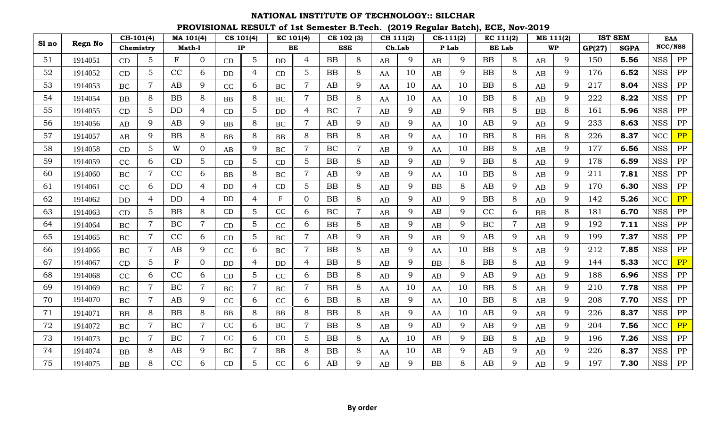|       |         |           | CH-101(4)      |              | MA 101(4)      | CS 101(4)            |                |                           | $\overline{EC}$ 101(4) |           | CE 102 (3)     |    | CH 111(2) |            | $CS-111(2)$ | EC 111(2) |                |                        | ME 111(2) |        | <b>IST SEM</b> |            | <b>EAA</b> |
|-------|---------|-----------|----------------|--------------|----------------|----------------------|----------------|---------------------------|------------------------|-----------|----------------|----|-----------|------------|-------------|-----------|----------------|------------------------|-----------|--------|----------------|------------|------------|
| Sl no | Regn No |           | Chemistry      |              | <b>Math-I</b>  |                      | IP             |                           | BE                     |           | <b>ESE</b>     |    | Ch.Lab    |            | P Lab       |           | <b>BE</b> Lab  |                        | <b>WP</b> | GP(27) | <b>SGPA</b>    | NCC/NSS    |            |
| 51    | 1914051 | CD        | 5              | $\mathbf{F}$ | $\mathbf{0}$   | CD                   | $\overline{5}$ | <b>DD</b>                 | 4                      | <b>BB</b> | 8              | AB | 9         | AB         | 9           | <b>BB</b> | 8              | AB                     | 9         | 150    | 5.56           | <b>NSS</b> | PP         |
| 52    | 1914052 | CD        | 5              | CC           | 6              | DD                   | 4              | CD                        | $\overline{5}$         | BB        | 8              | AA | 10        | AB         | 9           | BB        | 8              | AB                     | 9         | 176    | 6.52           | <b>NSS</b> | PP         |
| 53    | 1914053 | BC        | $\overline{7}$ | AB           | 9              | CC                   | 6              | <b>BC</b>                 | $\overline{7}$         | AB        | 9              | AA | 10        | AA         | 10          | <b>BB</b> | 8              | AB                     | 9         | 217    | 8.04           | <b>NSS</b> | ${\rm PP}$ |
| 54    | 1914054 | <b>BB</b> | 8              | <b>BB</b>    | 8              | <b>BB</b>            | 8              | <b>BC</b>                 | $\overline{7}$         | BB        | 8              | AA | 10        | AA         | 10          | <b>BB</b> | 8              | AB                     | 9         | 222    | 8.22           | <b>NSS</b> | ${\rm PP}$ |
| 55    | 1914055 | CD        | 5              | <b>DD</b>    | 4              | CD                   | 5              | <b>DD</b>                 | 4                      | BC        | $\overline{7}$ | AB | 9         | AB         | 9           | <b>BB</b> | 8              | BB                     | 8         | 161    | 5.96           | <b>NSS</b> | PP         |
| 56    | 1914056 | AB        | 9              | AB           | 9              | <b>BB</b>            | 8              | <b>BC</b>                 | $\overline{7}$         | AB        | 9              | AB | 9         | AA         | 10          | AB        | $\mathbf{Q}$   | AB                     | 9         | 233    | 8.63           | <b>NSS</b> | ${\rm PP}$ |
| 57    | 1914057 | AB        | 9              | <b>BB</b>    | 8              | <b>BB</b>            | 8              | BB                        | 8                      | BB        | 8              | AB | 9         | AA         | 10          | BB        | 8              | BB                     | 8         | 226    | 8.37           | $\rm NCC$  | PP         |
| 58    | 1914058 | CD        | 5              | W            | $\mathbf{0}$   | AB                   | 9              | <b>BC</b>                 | $\overline{7}$         | <b>BC</b> | $\overline{7}$ | AB | 9         | AA         | 10          | <b>BB</b> | 8              | AB                     | 9         | 177    | 6.56           | <b>NSS</b> | ${\rm PP}$ |
| 59    | 1914059 | CC        | 6              | CD           | 5              | CD                   | 5              | CD                        | 5                      | BB        | 8              | AB | 9         | AB         | 9           | <b>BB</b> | 8              | AB                     | 9         | 178    | 6.59           | <b>NSS</b> | ${\rm PP}$ |
| 60    | 1914060 | <b>BC</b> | 7              | CC           | 6              | BB                   | 8              | <b>BC</b>                 | $\overline{7}$         | AB        | 9              | AB | 9         | AA         | 10          | <b>BB</b> | 8              | AB                     | 9         | 211    | 7.81           | <b>NSS</b> | PP         |
| 61    | 1914061 | CC        | 6              | DD           | $\overline{4}$ | DD                   | 4              | CD                        | 5                      | BB        | 8              | AB | 9         | $\rm BB$   | 8           | AB        | $\mathbf Q$    | AB                     | 9         | 170    | 6.30           | <b>NSS</b> | ${\rm PP}$ |
| 62    | 1914062 | <b>DD</b> | 4              | <b>DD</b>    | $\overline{4}$ | DD                   | 4              | $\boldsymbol{\mathrm{F}}$ | $\overline{0}$         | BB        | 8              | AB | 9         | AB         | 9           | BB        | 8              | AB                     | 9         | 142    | 5.26           | NCC        | PP         |
| 63    | 1914063 | CD        | 5              | <b>BB</b>    | 8              | CD                   | 5              | CC                        | 6                      | <b>BC</b> | $\overline{7}$ | AB | 9         | AB         | 9           | CC        | 6              | BB                     | 8         | 181    | 6.70           | <b>NSS</b> | ${\rm PP}$ |
| 64    | 1914064 | BC        | $\overline{7}$ | BC           | $\overline{7}$ | CD                   | 5              | CC                        | 6                      | BB        | 8              | AB | 9         | AB         | 9           | BC        | $\overline{7}$ | AB                     | 9         | 192    | 7.11           | <b>NSS</b> | PP         |
| 65    | 1914065 | <b>BC</b> | 7              | CC           | 6              | CD                   | 5              | <b>BC</b>                 | $\overline{7}$         | AB        | 9              | AB | 9         | AB         | 9           | AB        | 9              | AB                     | 9         | 199    | 7.37           | <b>NSS</b> | ${\rm PP}$ |
| 66    | 1914066 | <b>BC</b> | $\overline{7}$ | AB           | 9              | CC                   | 6              | <b>BC</b>                 | $\overline{7}$         | BB        | 8              | AB | 9         | AA         | 10          | <b>BB</b> | 8              | AB                     | 9         | 212    | 7.85           | <b>NSS</b> | ${\rm PP}$ |
| 67    | 1914067 | CD        | 5              | $\mathbf F$  | $\overline{0}$ | <b>DD</b>            | 4              | <b>DD</b>                 | $\overline{4}$         | BB        | 8              | AB | 9         | <b>BB</b>  | 8           | BB        | 8              | AB                     | 9         | 144    | 5.33           | NCC        | PP         |
| 68    | 1914068 | CC        | 6              | CC           | 6              | CD                   | $\overline{5}$ | CC                        | 6                      | BB        | 8              | AB | 9         | AB         | 9           | AB        | 9              | AB                     | 9         | 188    | 6.96           | <b>NSS</b> | ${\rm PP}$ |
| 69    | 1914069 | BC        | $\overline{7}$ | BC           | $\overline{7}$ | <b>BC</b>            | $\overline{7}$ | <b>BC</b>                 | $\overline{7}$         | <b>BB</b> | 8              | AA | 10        | AA         | 10          | <b>BB</b> | 8              | AB                     | 9         | 210    | 7.78           | <b>NSS</b> | PP         |
| 70    | 1914070 | BC        | 7              | AB           | 9              | CC                   | 6              | CC                        | 6                      | BB        | 8              | AB | 9         | AA         | 10          | <b>BB</b> | 8              | AB                     | 9         | 208    | 7.70           | <b>NSS</b> | PP         |
| 71    | 1914071 | BB        | 8              | <b>BB</b>    | 8              | ${\bf BB}$           | 8              | BB                        | 8                      | BB        | 8              | AB | 9         | AA         | 10          | AB        | 9              | $\mathbf{A}\mathbf{B}$ | 9         | 226    | 8.37           | <b>NSS</b> | ${\rm PP}$ |
| 72    | 1914072 | <b>BC</b> | $\overline{7}$ | BC           | $\overline{7}$ | CC                   | 6              | <b>BC</b>                 | $\overline{7}$         | BB        | 8              | AB | 9         | AB         | 9           | AB        | 9              | AB                     | 9         | 204    | 7.56           | NCC        | PP         |
| 73    | 1914073 | <b>BC</b> | $\overline{7}$ | BC           | $\overline{7}$ | CC                   | 6              | CD                        | 5                      | BB        | 8              | AA | 10        | AB         | 9           | <b>BB</b> | 8              | AB                     | 9         | 196    | 7.26           | <b>NSS</b> | ${\rm PP}$ |
| 74    | 1914074 | BB        | 8              | AB           | 9              | <b>BC</b>            | $\overline{7}$ | ${\bf BB}$                | 8                      | BB        | 8              | AA | 10        | AB         | 9           | AB        | 9              | AB                     | 9         | 226    | 8.37           | <b>NSS</b> | PP         |
| 75    | 1914075 | BB        | 8              | CC           | 6              | $\mathbf C\mathbf D$ | 5              | CC                        | 6                      | AB        | 9              | AB | 9         | ${\rm BB}$ | 8           | AB        | $\mathbf Q$    | AB                     | 9         | 197    | 7.30           | NSS        | PP         |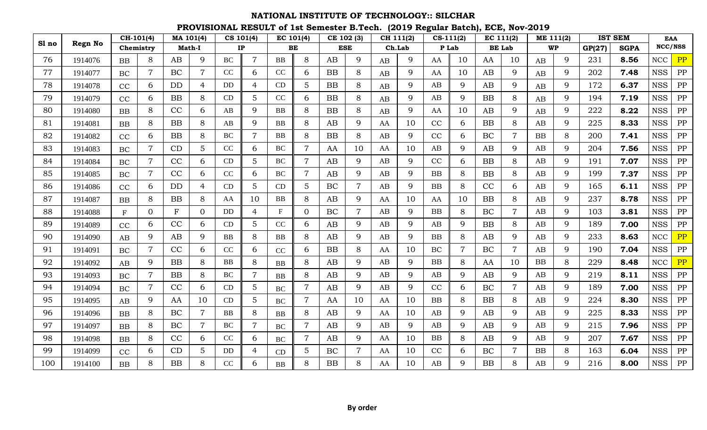|       |                |              | $\overline{CH-1}01(4)$ |             | MA 101(4)      | CS 101(4)  |                |                           | EC 101(4)      |           | CE 102 (3)     |    | CH 111(2) |           | $CS-111(2)$    |            | $\overline{EC 111(2)}$ |          | ME 111(2) |        | <b>IST SEM</b> |            | <b>EAA</b> |
|-------|----------------|--------------|------------------------|-------------|----------------|------------|----------------|---------------------------|----------------|-----------|----------------|----|-----------|-----------|----------------|------------|------------------------|----------|-----------|--------|----------------|------------|------------|
| Sl no | <b>Regn No</b> |              | Chemistry              |             | <b>Math-I</b>  |            | IP             |                           | BE             |           | <b>ESE</b>     |    | Ch.Lab    |           | P Lab          |            | <b>BE</b> Lab          |          | <b>WP</b> | GP(27) | <b>SGPA</b>    |            | NCC/NSS    |
| 76    | 1914076        | <b>BB</b>    | 8                      | AB          | 9              | <b>BC</b>  | $\overline{7}$ | BB                        | 8              | AB        | 9              | AB | 9         | AA        | 10             | AA         | 10                     | AB       | 9         | 231    | 8.56           | <b>NCC</b> | PP         |
| 77    | 1914077        | <b>BC</b>    | $\overline{7}$         | BC          | $\overline{7}$ | $\rm CC$   | 6              | CC                        | 6              | BB        | 8              | AB | 9         | AA        | 10             | AB         | 9                      | AB       | 9         | 202    | 7.48           | <b>NSS</b> | PP         |
| 78    | 1914078        | CC           | 6                      | <b>DD</b>   | 4              | DD         | 4              | CD                        | 5              | BB        | 8              | AB | 9         | AB        | 9              | AB         | 9                      | AB       | 9         | 172    | 6.37           | <b>NSS</b> | ${\rm PP}$ |
| 79    | 1914079        | CC           | 6                      | <b>BB</b>   | 8              | CD         | 5              | CC                        | 6              | <b>BB</b> | 8              | AB | 9         | AB        | 9              | <b>BB</b>  | 8                      | AB       | 9         | 194    | 7.19           | <b>NSS</b> | ${\rm PP}$ |
| 80    | 1914080        | BB           | 8                      | CC          | 6              | AB         | 9              | <b>BB</b>                 | 8              | BB        | 8              | AB | 9         | AA        | 10             | AB         | 9                      | AB       | 9         | 222    | 8.22           | <b>NSS</b> | ${\rm PP}$ |
| 81    | 1914081        | BB           | 8                      | <b>BB</b>   | 8              | AB         | 9              | ${\bf BB}$                | 8              | AB        | 9              | AA | 10        | CC        | 6              | ${\bf BB}$ | 8                      | AB       | 9         | 225    | 8.33           | <b>NSS</b> | ${\rm PP}$ |
| 82    | 1914082        | CC           | 6                      | <b>BB</b>   | 8              | <b>BC</b>  | $\overline{7}$ | ${\bf BB}$                | 8              | BB        | 8              | AB | 9         | CC        | 6              | BC         | $\overline{7}$         | BB       | 8         | 200    | 7.41           | <b>NSS</b> | ${\rm PP}$ |
| 83    | 1914083        | BC           | $\overline{7}$         | CD          | 5              | CC         | 6              | BC                        | $\overline{7}$ | AA        | 10             | AA | 10        | AB        | 9              | AB         | 9                      | AB       | 9         | 204    | 7.56           | <b>NSS</b> | ${\rm PP}$ |
| 84    | 1914084        | <b>BC</b>    | $\overline{7}$         | CC          | 6              | CD         | 5              | <b>BC</b>                 | $\overline{7}$ | AB        | 9              | AB | 9         | CC        | 6              | <b>BB</b>  | 8                      | AB       | 9         | 191    | 7.07           | <b>NSS</b> | ${\rm PP}$ |
| 85    | 1914085        | <b>BC</b>    | 7                      | CC          | 6              | CC         | 6              | <b>BC</b>                 | $\overline{7}$ | AB        | 9              | AB | 9         | BB        | 8              | <b>BB</b>  | 8                      | AB       | 9         | 199    | 7.37           | <b>NSS</b> | PP         |
| 86    | 1914086        | CC           | 6                      | <b>DD</b>   | 4              | CD         | 5              | CD                        | 5              | BC        | $\overline{7}$ | AB | 9         | BB        | 8              | CC         | 6                      | AB       | 9         | 165    | 6.11           | <b>NSS</b> | ${\rm PP}$ |
| 87    | 1914087        | BB           | 8                      | <b>BB</b>   | 8              | AA         | 10             | <b>BB</b>                 | 8              | AB        | 9              | AA | 10        | AA        | 10             | BB         | 8                      | AB       | 9         | 237    | 8.78           | <b>NSS</b> | ${\rm PP}$ |
| 88    | 1914088        | $\mathbf{F}$ | $\Omega$               | $\mathbf F$ | $\Omega$       | DD         | 4              | $\boldsymbol{\mathrm{F}}$ | $\overline{0}$ | <b>BC</b> | $\overline{7}$ | AB | 9         | BB        | 8              | <b>BC</b>  | $\overline{7}$         | AB       | 9         | 103    | 3.81           | <b>NSS</b> | ${\rm PP}$ |
| 89    | 1914089        | CC           | 6                      | CC          | 6              | CD         | 5              | CC                        | 6              | AB        | 9              | AB | 9         | AB        | 9              | <b>BB</b>  | 8                      | AB       | 9         | 189    | 7.00           | <b>NSS</b> | ${\rm PP}$ |
| 90    | 1914090        | AB           | 9                      | AB          | 9              | ${\bf BB}$ | 8              | <b>BB</b>                 | 8              | AB        | 9              | AB | 9         | BB        | 8              | AB         | 9                      | AB       | 9         | 233    | 8.63           | NCC        | PP         |
| 91    | 1914091        | BC           | $\overline{7}$         | CC          | 6              | CC         | 6              | CC                        | 6              | BB        | 8              | AA | 10        | $\rm BC$  | $\overline{7}$ | BC         | $\overline{7}$         | AB       | 9         | 190    | 7.04           | <b>NSS</b> | ${\rm PP}$ |
| 92    | 1914092        | AB           | 9                      | <b>BB</b>   | 8              | <b>BB</b>  | 8              | BB                        | 8              | AB        | 9              | AB | 9         | BB        | 8              | AA         | 10                     | BB       | 8         | 229    | 8.48           | $\rm NCC$  | PP         |
| 93    | 1914093        | <b>BC</b>    | $\overline{7}$         | <b>BB</b>   | 8              | <b>BC</b>  | $\overline{7}$ | <b>BB</b>                 | 8              | AB        | 9              | AB | 9         | AB        | 9              | AB         | 9                      | AB       | 9         | 219    | 8.11           | <b>NSS</b> | ${\rm PP}$ |
| 94    | 1914094        | <b>BC</b>    | $\overline{7}$         | CC          | 6              | CD         | 5              | <b>BC</b>                 | $\overline{7}$ | AB        | 9              | AB | 9         | CC        | 6              | BC         | $\overline{7}$         | AB       | 9         | 189    | 7.00           | <b>NSS</b> | ${\rm PP}$ |
| 95    | 1914095        | AB           | 9                      | AA          | 10             | CD         | 5              | <b>BC</b>                 | $\overline{7}$ | AA        | 10             | AA | 10        | BB        | 8              | BB         | 8                      | AB       | 9         | 224    | 8.30           | <b>NSS</b> | ${\rm PP}$ |
| 96    | 1914096        | BB           | 8                      | BC          | $\overline{7}$ | ${\bf BB}$ | 8              | BB                        | 8              | AB        | 9              | AA | 10        | AB        | 9              | AB         | 9                      | AB       | 9         | 225    | 8.33           | <b>NSS</b> | ${\rm PP}$ |
| 97    | 1914097        | BB           | 8                      | BC          | $\overline{7}$ | $\rm BC$   | $\overline{7}$ | BC                        | $\overline{7}$ | AB        | 9              | AB | 9         | AB        | 9              | AB         | 9                      | $\rm AB$ | 9         | 215    | 7.96           | <b>NSS</b> | ${\rm PP}$ |
| 98    | 1914098        | BB           | 8                      | CC          | 6              | CC         | 6              | <b>BC</b>                 | $\overline{7}$ | AB        | 9              | AA | 10        | <b>BB</b> | 8              | AB         | 9                      | AB       | 9         | 207    | 7.67           | <b>NSS</b> | ${\rm PP}$ |
| 99    | 1914099        | CC           | 6                      | CD          | 5              | DD         | 4              | CD                        | 5              | <b>BC</b> | $\overline{7}$ | AA | 10        | CC        | 6              | BC         | $\overline{7}$         | BB       | 8         | 163    | 6.04           | <b>NSS</b> | ${\rm PP}$ |
| 100   | 1914100        | BB           | 8                      | BB          | 8              | CC         | 6              | <b>BB</b>                 | 8              | BB        | 8              | AA | 10        | AB        | 9              | BB         | 8                      | AB       | 9         | 216    | 8.00           | <b>NSS</b> | PP         |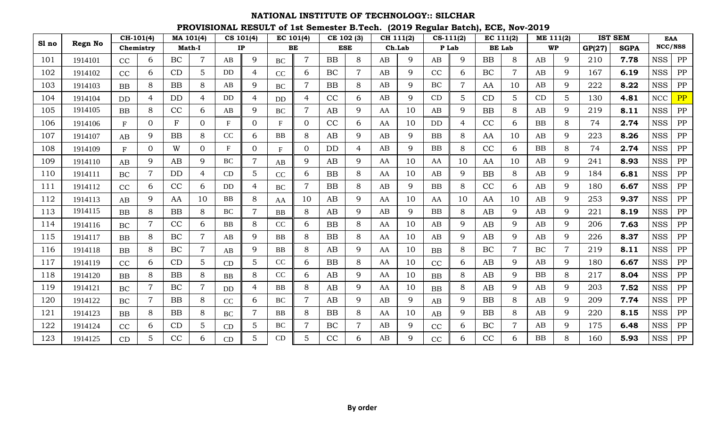|       |         |           | $\overline{CH-101(4)}$ | MA 101(4)   |                | CS 101(4)                 |                |           | $\overline{EC}$ 101(4) |           | CE 102 (3)     |    | CH 111(2) |           | $CS-111(2)$    | $\overline{EC}$ 111(2) |                | ME 111(2) |             |        | <b>IST SEM</b> |            | <b>EAA</b> |
|-------|---------|-----------|------------------------|-------------|----------------|---------------------------|----------------|-----------|------------------------|-----------|----------------|----|-----------|-----------|----------------|------------------------|----------------|-----------|-------------|--------|----------------|------------|------------|
| Sl no | Regn No |           | Chemistry              |             | <b>Math-I</b>  |                           | IP             |           | BE                     |           | <b>ESE</b>     |    | Ch.Lab    |           | P Lab          |                        | <b>BE Lab</b>  |           | <b>WP</b>   | GP(27) | <b>SGPA</b>    |            | NCC/NSS    |
| 101   | 1914101 | CC        | 6                      | BC          | $\overline{7}$ | AB                        | 9              | BC        | $\overline{7}$         | BB        | 8              | AB | 9         | AB        | 9              | BB                     | 8              | AB        | 9           | 210    | 7.78           | <b>NSS</b> | PP         |
| 102   | 1914102 | CC        | 6                      | CD          | 5              | <b>DD</b>                 | 4              | CC        | 6                      | <b>BC</b> | $\overline{7}$ | AB | 9         | CC        | 6              | BC                     | $\overline{7}$ | AB        | 9           | 167    | 6.19           | <b>NSS</b> | PP         |
| 103   | 1914103 | BB        | 8                      | <b>BB</b>   | 8              | AB                        | 9              | <b>BC</b> | $\overline{7}$         | BB        | 8              | AB | 9         | BC        | $\overline{7}$ | AA                     | 10             | AB        | 9           | 222    | 8.22           | <b>NSS</b> | PP         |
| 104   | 1914104 | DD.       | 4                      | <b>DD</b>   | 4              | DD                        | 4              | <b>DD</b> | 4                      | CC        | 6              | AB | 9         | CD        | 5              | CD                     | 5              | CD        | 5           | 130    | 4.81           | <b>NCC</b> | PP         |
| 105   | 1914105 | BB        | 8                      | CC          | 6              | AB                        | 9              | <b>BC</b> | $\overline{7}$         | AB        | 9              | AA | 10        | AB        | 9              | <b>BB</b>              | 8              | AB        | 9           | 219    | 8.11           | <b>NSS</b> | PP         |
| 106   | 1914106 | F         | 0                      | $\mathbf F$ | $\overline{0}$ | $\boldsymbol{\mathrm{F}}$ | $\Omega$       | F         | $\overline{0}$         | CC        | 6              | AA | 10        | $\rm{DD}$ | $\overline{4}$ | CC                     | 6              | <b>BB</b> | 8           | 74     | 2.74           | <b>NSS</b> | PP         |
| 107   | 1914107 | AB        | 9                      | <b>BB</b>   | 8              | CC                        | 6              | <b>BB</b> | 8                      | AB        | 9              | AB | 9         | BB        | 8              | AA                     | 10             | AB        | $\mathbf Q$ | 223    | 8.26           | <b>NSS</b> | PP         |
| 108   | 1914109 | F         | $\overline{0}$         | W           | $\Omega$       | F                         | $\Omega$       | F         | $\overline{0}$         | <b>DD</b> | $\overline{4}$ | AB | 9         | BB        | 8              | CC                     | 6              | <b>BB</b> | 8           | 74     | 2.74           | <b>NSS</b> | PP         |
| 109   | 1914110 | AB        | 9                      | AB          | 9              | <b>BC</b>                 | $\overline{7}$ | AB        | 9                      | AB        | 9              | AA | 10        | AA        | 10             | AA                     | 10             | AB        | 9           | 241    | 8.93           | <b>NSS</b> | PP         |
| 110   | 1914111 | <b>BC</b> | $\overline{7}$         | <b>DD</b>   | 4              | CD                        | 5              | CC        | 6                      | <b>BB</b> | 8              | AA | 10        | AB        | 9              | <b>BB</b>              | 8              | AB        | $\mathbf Q$ | 184    | 6.81           | <b>NSS</b> | PP         |
| 111   | 1914112 | CC        | 6                      | CC          | 6              | DD                        | 4              | <b>BC</b> | $\overline{7}$         | BB        | 8              | AB | 9         | BB        | 8              | CC                     | 6              | AB        | $\mathbf Q$ | 180    | 6.67           | <b>NSS</b> | PP         |
| 112   | 1914113 | AB        | 9                      | AA          | 10             | ${\bf BB}$                | 8              | AA        | 10                     | AB        | 9              | AA | 10        | AA        | 10             | AA                     | 10             | AB        | $\mathbf Q$ | 253    | 9.37           | <b>NSS</b> | PP         |
| 113   | 1914115 | <b>BB</b> | 8                      | <b>BB</b>   | 8              | <b>BC</b>                 | $\overline{7}$ | <b>BB</b> | 8                      | AB        | 9              | AB | 9         | BB        | 8              | AB                     | 9              | AB        | $\mathbf Q$ | 221    | 8.19           | <b>NSS</b> | PP         |
| 114   | 1914116 | <b>BC</b> | 7                      | CC          | 6              | BB                        | 8              | CC        | 6                      | BB        | 8              | AA | 10        | AB        | 9              | AB                     | 9              | AB        | $\mathbf Q$ | 206    | 7.63           | <b>NSS</b> | PP         |
| 115   | 1914117 | <b>BB</b> | 8                      | BC          | $\overline{7}$ | AB                        | 9              | <b>BB</b> | 8                      | BB        | 8              | AA | 10        | AB        | 9              | AB                     | 9              | AB        | 9           | 226    | 8.37           | <b>NSS</b> | PP         |
| 116   | 1914118 | <b>BB</b> | 8                      | BC          | $\overline{7}$ | AB                        | 9              | BB        | 8                      | AB        | 9              | AA | 10        | <b>BB</b> | 8              | BC                     | $\overline{7}$ | BC        | 7           | 219    | 8.11           | <b>NSS</b> | PP         |
| 117   | 1914119 | CC        | 6                      | CD          | 5              | CD                        | 5              | CC        | 6                      | BB        | 8              | AA | 10        | CC        | 6              | AB                     | 9              | AB        | 9           | 180    | 6.67           | <b>NSS</b> | PP         |
| 118   | 1914120 | <b>BB</b> | 8                      | <b>BB</b>   | 8              | <b>BB</b>                 | 8              | CC        | 6                      | AB        | 9              | AA | 10        | <b>BB</b> | 8              | AB                     | 9              | <b>BB</b> | 8           | 217    | 8.04           | <b>NSS</b> | PP         |
| 119   | 1914121 | <b>BC</b> | $\overline{7}$         | BC          | $\overline{7}$ | <b>DD</b>                 | 4              | BB        | 8                      | AB        | 9              | AA | 10        | BB        | 8              | AB                     | 9              | AB        | 9           | 203    | 7.52           | <b>NSS</b> | PP         |
| 120   | 1914122 | BC        | 7                      | <b>BB</b>   | 8              | CC                        | 6              | BC        | $\overline{7}$         | AB        | 9              | AB | 9         | AB        | 9              | <b>BB</b>              | 8              | AB        | 9           | 209    | 7.74           | <b>NSS</b> | PP         |
| 121   | 1914123 | BB        | 8                      | <b>BB</b>   | 8              | <b>BC</b>                 | $\overline{7}$ | BB        | 8                      | BB        | 8              | AA | 10        | AB        | 9              | BB                     | 8              | AB        | 9           | 220    | 8.15           | <b>NSS</b> | PP         |
| 122   | 1914124 | CC        | 6                      | CD          | $\overline{5}$ | CD                        | 5              | <b>BC</b> | $\overline{7}$         | BC        | $\overline{7}$ | AB | 9         | CC        | 6              | BC                     | $\overline{7}$ | AB        | 9           | 175    | 6.48           | <b>NSS</b> | PP         |
| 123   | 1914125 | CD        | 5                      | CC          | 6              | CD                        | 5              | CD        | $5\phantom{.}$         | CC        | 6              | AB | 9         | CC        | 6              | CC                     | 6              | BB        | 8           | 160    | 5.93           | <b>NSS</b> | PP         |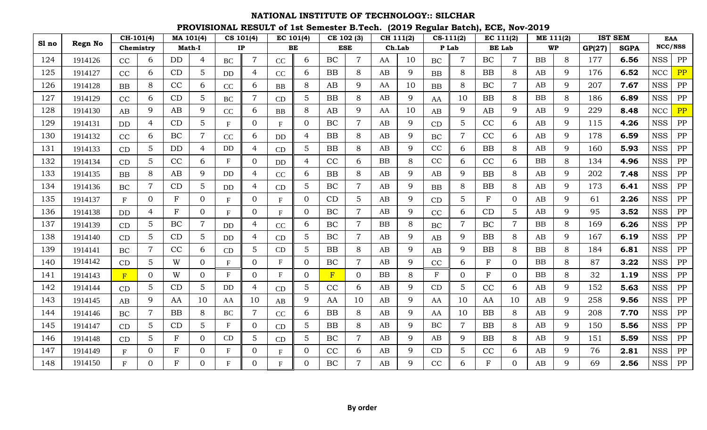|       |         |                | $\overline{CH-101(4)}$ |              | $\overline{MA}$ 101(4) | $\overline{\text{CS}}$ 101(4) |                |                | EC 101(4)      |           | CE 102 (3)     |           | CH 111(2) |           | $CS-111(2)$    |              | EC 111(2)      |    | ME 111(2) |        | <b>IST SEM</b> |            | <b>EAA</b> |
|-------|---------|----------------|------------------------|--------------|------------------------|-------------------------------|----------------|----------------|----------------|-----------|----------------|-----------|-----------|-----------|----------------|--------------|----------------|----|-----------|--------|----------------|------------|------------|
| Sl no | Regn No |                | Chemistry              |              | <b>Math-I</b>          |                               | IP             |                | BE             |           | <b>ESE</b>     |           | Ch.Lab    |           | P Lab          |              | <b>BE</b> Lab  |    | <b>WP</b> | GP(27) | <b>SGPA</b>    |            | NCC/NSS    |
| 124   | 1914126 | CC             | 6                      | <b>DD</b>    | 4                      | <b>BC</b>                     | $\overline{7}$ | CC             | 6              | <b>BC</b> | $\overline{7}$ | AA        | 10        | <b>BC</b> | $\overline{7}$ | <b>BC</b>    | $\overline{7}$ | BB | 8         | 177    | 6.56           | <b>NSS</b> | PP         |
| 125   | 1914127 | CC             | 6                      | CD           | 5                      | <b>DD</b>                     | $\overline{4}$ | CC             | 6              | BB        | 8              | AB        | 9         | <b>BB</b> | 8              | <b>BB</b>    | 8              | AB | 9         | 176    | 6.52           | NCC        | PP         |
| 126   | 1914128 | <b>BB</b>      | 8                      | CC           | 6                      | CC                            | 6              | <b>BB</b>      | 8              | AB        | 9              | AA        | 10        | <b>BB</b> | 8              | BC           | $\overline{7}$ | AB | 9         | 207    | 7.67           | <b>NSS</b> | ${\rm PP}$ |
| 127   | 1914129 | CC             | 6                      | CD           | 5                      | <b>BC</b>                     | $\overline{7}$ | CD             | $5\phantom{.}$ | BB        | 8              | AB        | 9         | AA        | 10             | BB           | 8              | BB | 8         | 186    | 6.89           | <b>NSS</b> | PP         |
| 128   | 1914130 | AB             | 9                      | AB           | 9                      | CC                            | 6              | <b>BB</b>      | 8              | AB        | 9              | AA        | 10        | AB        | 9              | AB           | 9              | AB | 9         | 229    | 8.48           | NCC        | PP         |
| 129   | 1914131 | <b>DD</b>      | 4                      | CD           | 5                      | $\mathbf{F}$                  | $\overline{0}$ | $F_{\rm}$      | $\overline{0}$ | BC        | $\overline{7}$ | AB        | 9         | CD        | 5              | CC           | 6              | AB | 9         | 115    | 4.26           | <b>NSS</b> | ${\rm PP}$ |
| 130   | 1914132 | CC             | 6                      | BC           | $\overline{7}$         | CC                            | 6              | DD             | $\overline{4}$ | BB        | 8              | AB        | 9         | BC        | $\overline{7}$ | CC           | 6              | AB | 9         | 178    | 6.59           | <b>NSS</b> | PP         |
| 131   | 1914133 | CD             | 5                      | <b>DD</b>    | $\overline{4}$         | DD                            | 4              | CD             | 5              | BB        | 8              | AB        | 9         | CC        | 6              | <b>BB</b>    | 8              | AB | 9         | 160    | 5.93           | <b>NSS</b> | PP         |
| 132   | 1914134 | CD             | 5                      | CC           | 6                      | $F_{\rm}$                     | $\overline{0}$ | DD             | $\overline{4}$ | CC        | 6              | <b>BB</b> | 8         | CC        | 6              | CC           | 6              | BB | 8         | 134    | 4.96           | <b>NSS</b> | PP         |
| 133   | 1914135 | BB             | 8                      | AB           | 9                      | DD                            | $\overline{4}$ | CC             | 6              | BB        | 8              | AB        | 9         | AB        | 9              | <b>BB</b>    | 8              | AB | 9         | 202    | 7.48           | <b>NSS</b> | PP         |
| 134   | 1914136 | <b>BC</b>      | $\overline{7}$         | CD           | 5                      | DD                            | 4              | CD             | $5\phantom{.}$ | BC        | $\overline{7}$ | AB        | 9         | BB        | 8              | BB           | 8              | AB | 9         | 173    | 6.41           | <b>NSS</b> | ${\rm PP}$ |
| 135   | 1914137 | F              | $\mathbf{0}$           | $\mathbf F$  | $\overline{0}$         | $\mathbf{F}$                  | $\overline{0}$ | $\mathbf{F}$   | $\overline{0}$ | CD        | $5\phantom{.}$ | AB        | 9         | CD        | 5              | $_{\rm F}$   | $\overline{0}$ | AB | 9         | 61     | 2.26           | <b>NSS</b> | ${\rm PP}$ |
| 136   | 1914138 | DD             | 4                      | $\mathbf{F}$ | $\overline{0}$         | $F_{\rm}$                     | $\overline{0}$ | F              | $\overline{0}$ | <b>BC</b> | $\overline{7}$ | AB        | 9         | CC        | 6              | CD           | $5\phantom{.}$ | AB | 9         | 95     | 3.52           | <b>NSS</b> | ${\rm PP}$ |
| 137   | 1914139 | CD             | 5                      | BC           | $\overline{7}$         | <b>DD</b>                     | 4              | CC             | 6              | <b>BC</b> | $\overline{7}$ | BB        | 8         | BC        | $\overline{7}$ | BC           | $\overline{7}$ | BB | 8         | 169    | 6.26           | <b>NSS</b> | ${\rm PP}$ |
| 138   | 1914140 | CD             | 5                      | CD           | 5                      | <b>DD</b>                     | 4              | CD             | 5              | BC        | $\overline{7}$ | AB        | 9         | AB        | 9              | <b>BB</b>    | 8              | AB | 9         | 167    | 6.19           | <b>NSS</b> | PP         |
| 139   | 1914141 | BC             | $\overline{7}$         | CC           | 6                      | CD                            | 5              | CD             | $5^{\circ}$    | <b>BB</b> | 8              | AB        | 9         | AB        | 9              | <b>BB</b>    | 8              | BB | 8         | 184    | 6.81           | <b>NSS</b> | PP         |
| 140   | 1914142 | CD             | 5                      | W            | $\overline{0}$         | ${\bf F}$                     | $\overline{0}$ | F              | $\overline{0}$ | BC        | $\overline{7}$ | AB        | 9         | CC        | 6              | $_{\rm F}$   | $\overline{0}$ | BB | 8         | 87     | 3.22           | <b>NSS</b> | PP         |
| 141   | 1914143 | $\mathbf F$    | $\Omega$               | W            | $\overline{0}$         | F                             | $\overline{0}$ | F              | $\overline{0}$ | F         | $\overline{0}$ | <b>BB</b> | 8         | F         | $\overline{0}$ | F            | $\overline{0}$ | BB | 8         | 32     | 1.19           | <b>NSS</b> | ${\rm PP}$ |
| 142   | 1914144 | CD             | 5                      | CD           | 5                      | <b>DD</b>                     | $\overline{4}$ | CD             | 5              | CC        | 6              | AB        | 9         | CD        | $5^{\circ}$    | CC           | 6              | AB | 9         | 152    | 5.63           | <b>NSS</b> | ${\rm PP}$ |
| 143   | 1914145 | AB             | 9                      | AA           | 10                     | AA                            | 10             | AB             | 9              | AA        | 10             | AB        | 9         | AA        | 10             | AA           | 10             | AB | 9         | 258    | 9.56           | <b>NSS</b> | PP         |
| 144   | 1914146 | <b>BC</b>      | $\overline{7}$         | BB           | 8                      | <b>BC</b>                     | $\overline{7}$ | CC             | 6              | <b>BB</b> | 8              | AB        | 9         | AA        | 10             | <b>BB</b>    | 8              | AB | 9         | 208    | 7.70           | <b>NSS</b> | ${\rm PP}$ |
| 145   | 1914147 | CD             | 5                      | CD           | 5                      | $\boldsymbol{\mathrm{F}}$     | $\overline{0}$ | CD             | 5              | BB        | 8              | AB        | 9         | BC        | $\overline{7}$ | BB           | 8              | AB | 9         | 150    | 5.56           | <b>NSS</b> | PP         |
| 146   | 1914148 | CD             | 5                      | $\mathbf{F}$ | $\overline{0}$         | CD                            | 5              | CD             | $5\phantom{.}$ | <b>BC</b> | $\overline{7}$ | AB        | 9         | AB        | 9              | BB           | 8              | AB | 9         | 151    | 5.59           | <b>NSS</b> | ${\rm PP}$ |
| 147   | 1914149 | $\overline{F}$ | $\Omega$               | $\mathbf{F}$ | $\overline{0}$         | $F_{\rm}$                     | $\overline{0}$ | F              | $\overline{0}$ | CC        | 6              | AB        | 9         | CD        | $5^{\circ}$    | CC           | 6              | AB | 9         | 76     | 2.81           | <b>NSS</b> | ${\rm PP}$ |
| 148   | 1914150 | $\mathbf F$    | 0                      | ${\bf F}$    | $\overline{0}$         | $\mathbf F$                   | $\overline{0}$ | $\overline{F}$ | $\Omega$       | BC        | $\overline{7}$ | AB        | 9         | CC        | 6              | $\mathbf{F}$ | $\Omega$       | AB | 9         | 69     | 2.56           | <b>NSS</b> | PP         |